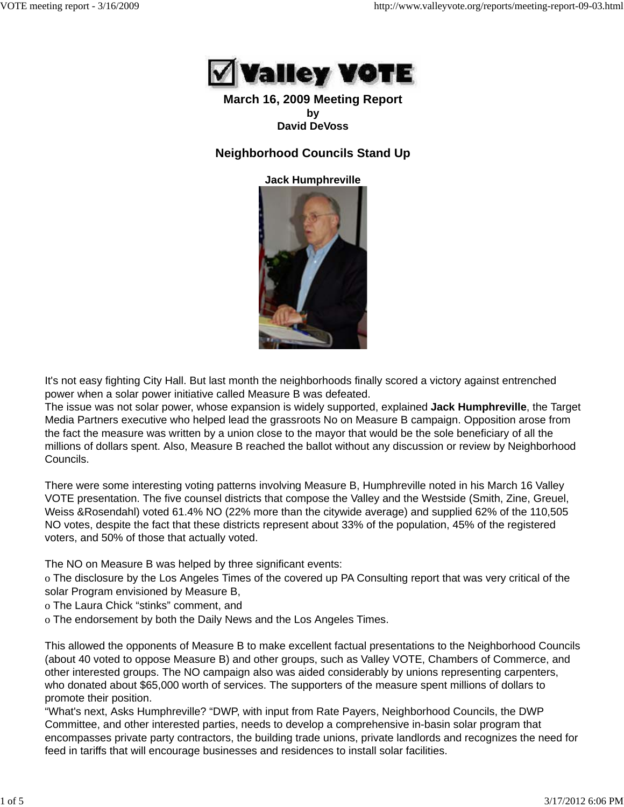

### **March 16, 2009 Meeting Report by David DeVoss**

# **Neighborhood Councils Stand Up**

**Jack Humphreville**



It's not easy fighting City Hall. But last month the neighborhoods finally scored a victory against entrenched power when a solar power initiative called Measure B was defeated.

The issue was not solar power, whose expansion is widely supported, explained **Jack Humphreville**, the Target Media Partners executive who helped lead the grassroots No on Measure B campaign. Opposition arose from the fact the measure was written by a union close to the mayor that would be the sole beneficiary of all the millions of dollars spent. Also, Measure B reached the ballot without any discussion or review by Neighborhood Councils.

There were some interesting voting patterns involving Measure B, Humphreville noted in his March 16 Valley VOTE presentation. The five counsel districts that compose the Valley and the Westside (Smith, Zine, Greuel, Weiss &Rosendahl) voted 61.4% NO (22% more than the citywide average) and supplied 62% of the 110,505 NO votes, despite the fact that these districts represent about 33% of the population, 45% of the registered voters, and 50% of those that actually voted.

The NO on Measure B was helped by three significant events:

o The disclosure by the Los Angeles Times of the covered up PA Consulting report that was very critical of the solar Program envisioned by Measure B,

o The Laura Chick "stinks" comment, and

o The endorsement by both the Daily News and the Los Angeles Times.

This allowed the opponents of Measure B to make excellent factual presentations to the Neighborhood Councils (about 40 voted to oppose Measure B) and other groups, such as Valley VOTE, Chambers of Commerce, and other interested groups. The NO campaign also was aided considerably by unions representing carpenters, who donated about \$65,000 worth of services. The supporters of the measure spent millions of dollars to promote their position.

"What's next, Asks Humphreville? "DWP, with input from Rate Payers, Neighborhood Councils, the DWP Committee, and other interested parties, needs to develop a comprehensive in-basin solar program that encompasses private party contractors, the building trade unions, private landlords and recognizes the need for feed in tariffs that will encourage businesses and residences to install solar facilities.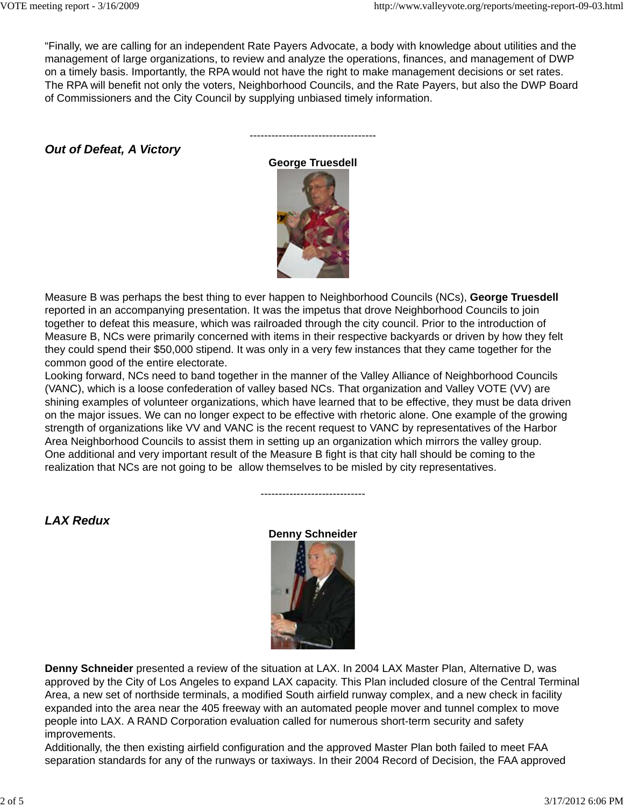"Finally, we are calling for an independent Rate Payers Advocate, a body with knowledge about utilities and the management of large organizations, to review and analyze the operations, finances, and management of DWP on a timely basis. Importantly, the RPA would not have the right to make management decisions or set rates. The RPA will benefit not only the voters, Neighborhood Councils, and the Rate Payers, but also the DWP Board of Commissioners and the City Council by supplying unbiased timely information.

*Out of Defeat, A Victory*

**George Truesdell**

-----------------------------------



Measure B was perhaps the best thing to ever happen to Neighborhood Councils (NCs), **George Truesdell** reported in an accompanying presentation. It was the impetus that drove Neighborhood Councils to join together to defeat this measure, which was railroaded through the city council. Prior to the introduction of Measure B, NCs were primarily concerned with items in their respective backyards or driven by how they felt they could spend their \$50,000 stipend. It was only in a very few instances that they came together for the common good of the entire electorate.

Looking forward, NCs need to band together in the manner of the Valley Alliance of Neighborhood Councils (VANC), which is a loose confederation of valley based NCs. That organization and Valley VOTE (VV) are shining examples of volunteer organizations, which have learned that to be effective, they must be data driven on the major issues. We can no longer expect to be effective with rhetoric alone. One example of the growing strength of organizations like VV and VANC is the recent request to VANC by representatives of the Harbor Area Neighborhood Councils to assist them in setting up an organization which mirrors the valley group. One additional and very important result of the Measure B fight is that city hall should be coming to the realization that NCs are not going to be allow themselves to be misled by city representatives.

*LAX Redux*

**Denny Schneider**

-----------------------------



**Denny Schneider** presented a review of the situation at LAX. In 2004 LAX Master Plan, Alternative D, was approved by the City of Los Angeles to expand LAX capacity. This Plan included closure of the Central Terminal Area, a new set of northside terminals, a modified South airfield runway complex, and a new check in facility expanded into the area near the 405 freeway with an automated people mover and tunnel complex to move people into LAX. A RAND Corporation evaluation called for numerous short-term security and safety improvements.

Additionally, the then existing airfield configuration and the approved Master Plan both failed to meet FAA separation standards for any of the runways or taxiways. In their 2004 Record of Decision, the FAA approved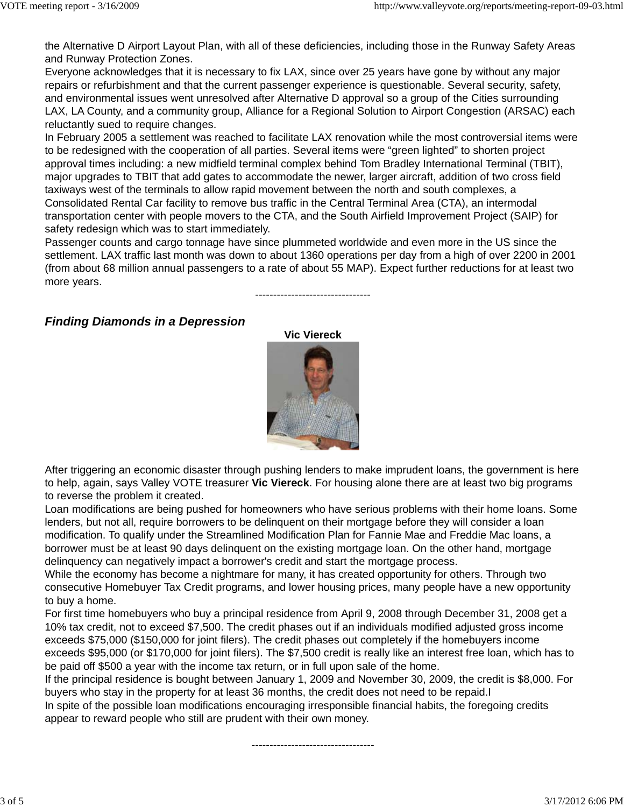the Alternative D Airport Layout Plan, with all of these deficiencies, including those in the Runway Safety Areas and Runway Protection Zones.

Everyone acknowledges that it is necessary to fix LAX, since over 25 years have gone by without any major repairs or refurbishment and that the current passenger experience is questionable. Several security, safety, and environmental issues went unresolved after Alternative D approval so a group of the Cities surrounding LAX, LA County, and a community group, Alliance for a Regional Solution to Airport Congestion (ARSAC) each reluctantly sued to require changes.

In February 2005 a settlement was reached to facilitate LAX renovation while the most controversial items were to be redesigned with the cooperation of all parties. Several items were "green lighted" to shorten project approval times including: a new midfield terminal complex behind Tom Bradley International Terminal (TBIT), major upgrades to TBIT that add gates to accommodate the newer, larger aircraft, addition of two cross field taxiways west of the terminals to allow rapid movement between the north and south complexes, a Consolidated Rental Car facility to remove bus traffic in the Central Terminal Area (CTA), an intermodal transportation center with people movers to the CTA, and the South Airfield Improvement Project (SAIP) for safety redesign which was to start immediately.

Passenger counts and cargo tonnage have since plummeted worldwide and even more in the US since the settlement. LAX traffic last month was down to about 1360 operations per day from a high of over 2200 in 2001 (from about 68 million annual passengers to a rate of about 55 MAP). Expect further reductions for at least two more years.

--------------------------------

# *Finding Diamonds in a Depression*



After triggering an economic disaster through pushing lenders to make imprudent loans, the government is here to help, again, says Valley VOTE treasurer **Vic Viereck**. For housing alone there are at least two big programs to reverse the problem it created.

Loan modifications are being pushed for homeowners who have serious problems with their home loans. Some lenders, but not all, require borrowers to be delinquent on their mortgage before they will consider a loan modification. To qualify under the Streamlined Modification Plan for Fannie Mae and Freddie Mac loans, a borrower must be at least 90 days delinquent on the existing mortgage loan. On the other hand, mortgage delinquency can negatively impact a borrower's credit and start the mortgage process.

While the economy has become a nightmare for many, it has created opportunity for others. Through two consecutive Homebuyer Tax Credit programs, and lower housing prices, many people have a new opportunity to buy a home.

For first time homebuyers who buy a principal residence from April 9, 2008 through December 31, 2008 get a 10% tax credit, not to exceed \$7,500. The credit phases out if an individuals modified adjusted gross income exceeds \$75,000 (\$150,000 for joint filers). The credit phases out completely if the homebuyers income exceeds \$95,000 (or \$170,000 for joint filers). The \$7,500 credit is really like an interest free loan, which has to be paid off \$500 a year with the income tax return, or in full upon sale of the home.

If the principal residence is bought between January 1, 2009 and November 30, 2009, the credit is \$8,000. For buyers who stay in the property for at least 36 months, the credit does not need to be repaid.I

In spite of the possible loan modifications encouraging irresponsible financial habits, the foregoing credits appear to reward people who still are prudent with their own money.

----------------------------------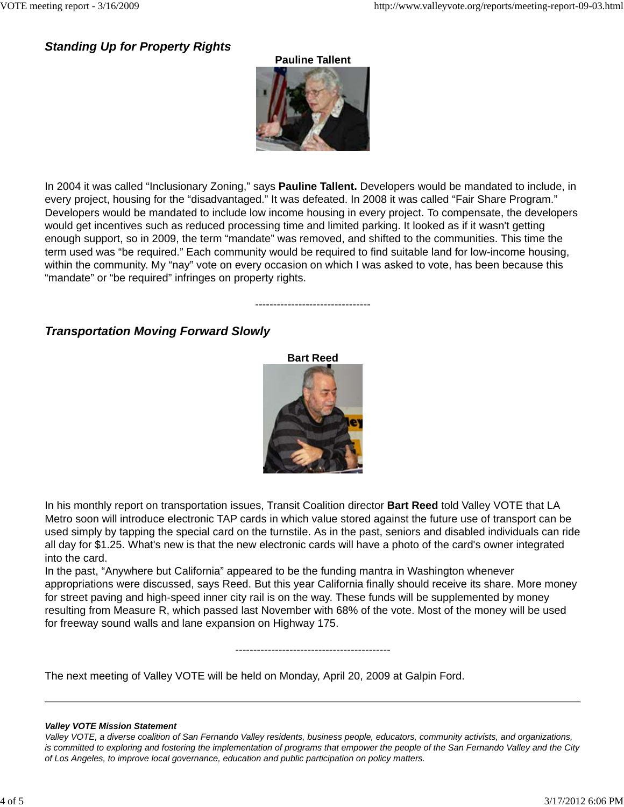## *Standing Up for Property Rights*



In 2004 it was called "Inclusionary Zoning," says **Pauline Tallent.** Developers would be mandated to include, in every project, housing for the "disadvantaged." It was defeated. In 2008 it was called "Fair Share Program." Developers would be mandated to include low income housing in every project. To compensate, the developers would get incentives such as reduced processing time and limited parking. It looked as if it wasn't getting enough support, so in 2009, the term "mandate" was removed, and shifted to the communities. This time the term used was "be required." Each community would be required to find suitable land for low-income housing, within the community. My "nay" vote on every occasion on which I was asked to vote, has been because this "mandate" or "be required" infringes on property rights.

--------------------------------

# *Transportation Moving Forward Slowly*



In his monthly report on transportation issues, Transit Coalition director **Bart Reed** told Valley VOTE that LA Metro soon will introduce electronic TAP cards in which value stored against the future use of transport can be used simply by tapping the special card on the turnstile. As in the past, seniors and disabled individuals can ride all day for \$1.25. What's new is that the new electronic cards will have a photo of the card's owner integrated into the card.

In the past, "Anywhere but California" appeared to be the funding mantra in Washington whenever appropriations were discussed, says Reed. But this year California finally should receive its share. More money for street paving and high-speed inner city rail is on the way. These funds will be supplemented by money resulting from Measure R, which passed last November with 68% of the vote. Most of the money will be used for freeway sound walls and lane expansion on Highway 175.

-------------------------------------------

The next meeting of Valley VOTE will be held on Monday, April 20, 2009 at Galpin Ford.

#### *Valley VOTE Mission Statement*

*Valley VOTE, a diverse coalition of San Fernando Valley residents, business people, educators, community activists, and organizations, is committed to exploring and fostering the implementation of programs that empower the people of the San Fernando Valley and the City of Los Angeles, to improve local governance, education and public participation on policy matters.*